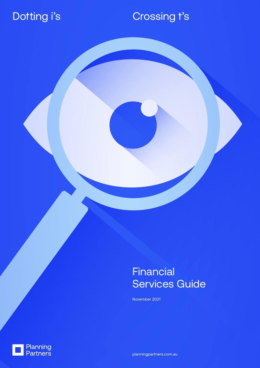## Dotting i's

# Crossing t's

**Financial** Services Guide

November 2021



planningpartners.com.au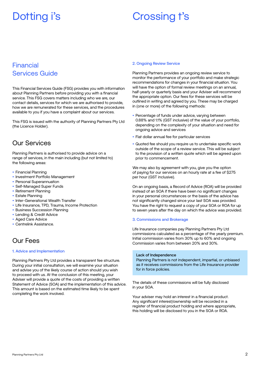## Dotting i's **Crossing t's**

## Financial Services Guide

This Financial Services Guide (FSG) provides you with information about Planning Partners before providing you with a financial service. This FSG covers matters including who we are, our contact details, services for which we are authorised to provide, how we are remunerated for these services, and the procedures available to you if you have a complaint about our services.

This FSG is issued with the authority of Planning Partners Pty Ltd (the Licence Holder).

## Our Services

Planning Partners is authorised to provide advice on a range of services, in the main including (but not limited to) the following areas:

- Financial Planning
- Investment Portfolio Management
- Personal Superannuation
- Self-Managed Super Funds
- Retirement Planning
- **Estate Planning**
- Inter-Generational Wealth Transfer
- Life Insurance, TPD, Trauma, Income Protection
- Business Succession Planning
- Lending & Credit Advice
- Aged Care Advice
- Centrelink Assistance.

### Our Fees

#### 1. Advice and Implementation

Planning Partners Pty Ltd provides a transparent fee structure. During your initial consultation, we will examine your situation and advise you of the likely course of action should you wish to proceed with us. At the conclusion of this meeting, your Adviser will provide a quote of the costs of providing a written Statement of Advice (SOA) and the implementation of this advice. This amount is based on the estimated time likely to be spent completing the work involved.

#### 2. Ongoing Review Service

Planning Partners provides an ongoing review service to monitor the performance of your portfolio and make strategic recommendations for changes in your financial situation. You will have the option of formal review meetings on an annual, half-yearly or quarterly basis and your Adviser will recommend the appropriate option. Our fees for these services will be outlined in writing and agreed by you. These may be charged in (one or more) of the following methods:

- Percentage of funds under advice, varying between 0.88% and 1.1% (GST inclusive) of the value of your portfolio, depending on the complexity of your situation and need for ongoing advice and services
- Flat dollar annual fee for particular services
- Quoted fee should you require us to undertake specific work outside of the scope of a review service. This will be subject to the provision of a written quote which will be agreed upon prior to commencement.

We may also by agreement with you, give you the option of paying for our services on an hourly rate at a fee of \$275 per hour (GST inclusive).

On an ongoing basis, a Record of Advice (ROA) will be provided instead of an SOA if there have been no significant changes in your personal circumstances or the basis of the advice has not significantly changed since your last SOA was provided. You have the right to request a copy of your SOA or ROA for up to seven years after the day on which the advice was provided.

#### 3. Commissions and Brokerage

Life Insurance companies pay Planning Partners Pty Ltd commissions calculated as a percentage of the yearly premium. Initial commission varies from 30% up to 60% and ongoing Commission varies from between 20% and 30%.

### Lack of Independence

Planning Partners is not independent, impartial, or unbiased as it receives commissions from the Life Insurance provider for in force policies.

The details of these commissions will be fully disclosed in your SOA.

Your adviser may hold an interest in a financial product. Any significant interest/ownership will be recorded in a register of financial product holding and where appropriate, this holding will be disclosed to you in the SOA or ROA.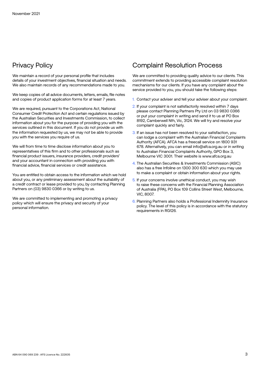## Privacy Policy

We maintain a record of your personal profile that includes details of your investment objectives, financial situation and needs. We also maintain records of any recommendations made to you.

We keep copies of all advice documents, letters, emails, file notes and copies of product application forms for at least 7 years.

We are required, pursuant to the Corporations Act, National Consumer Credit Protection Act and certain regulations issued by the Australian Securities and Investments Commission, to collect information about you for the purpose of providing you with the services outlined in this document. If you do not provide us with the information requested by us, we may not be able to provide you with the services you require of us.

We will from time to time disclose information about you to representatives of this firm and to other professionals such as financial product issuers, insurance providers, credit providers' and your accountant in connection with providing you with financial advice, financial services or credit assistance.

You are entitled to obtain access to the information which we hold about you, or any preliminary assessment about the suitability of a credit contract or lease provided to you, by contacting Planning Partners on (03) 9830 0366 or by writing to us.

We are committed to implementing and promoting a privacy policy which will ensure the privacy and security of your personal information.

### Complaint Resolution Process

We are committed to providing quality advice to our clients. This commitment extends to providing accessible complaint resolution mechanisms for our clients. If you have any complaint about the service provided to you, you should take the following steps:

- 1. Contact your adviser and tell your adviser about your complaint.
- 2. If your complaint is not satisfactorily resolved within 7 days please contact Planning Partners Pty Ltd on 03 9830 0366 or put your complaint in writing and send it to us at PO Box 8192, Camberwell Nth, Vic, 3124. We will try and resolve your complaint quickly and fairly.
- 3. If an issue has not been resolved to your satisfaction, you can lodge a complaint with the Australian Financial Complaints Authority (AFCA). AFCA has a freecall service on 1800 931 678. Alternatively, you can email info@afca.org.au or in writing to Australian Financial Complaints Authority, GPO Box 3, Melbourne VIC 3001. Their website is www.afca.org.au
- 4. The Australian Securities & Investments Commission (ASIC) also has a free Infoline on 1300 300 630 which you may use to make a complaint or obtain information about your rights.
- 5. If your concerns involve unethical conduct, you may wish to raise these concerns with the Financial Planning Association of Australia (FPA), PO Box 109 Collins Street West, Melbourne, VIC, 8007.
- 6. Planning Partners also holds a Professional Indemnity Insurance policy. The level of this policy is in accordance with the statutory requirements in RG126.